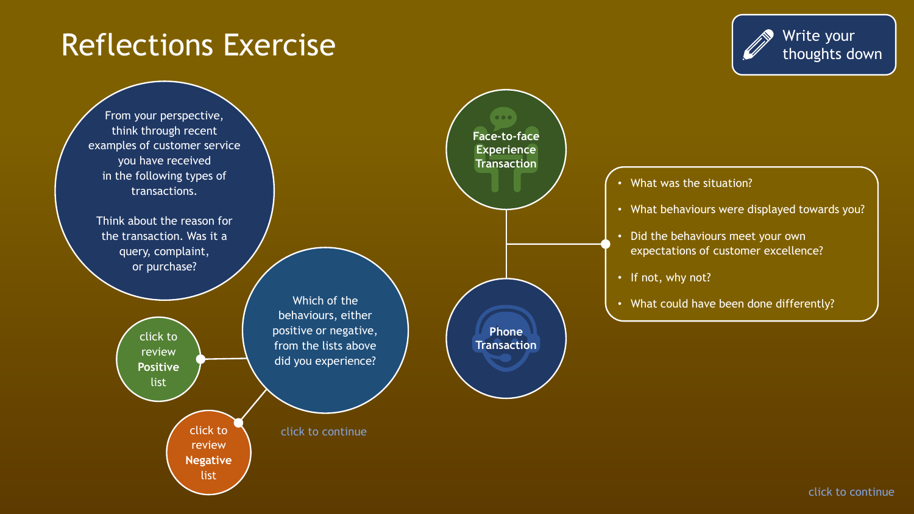#### Reflections Exercise

Write your thoughts down

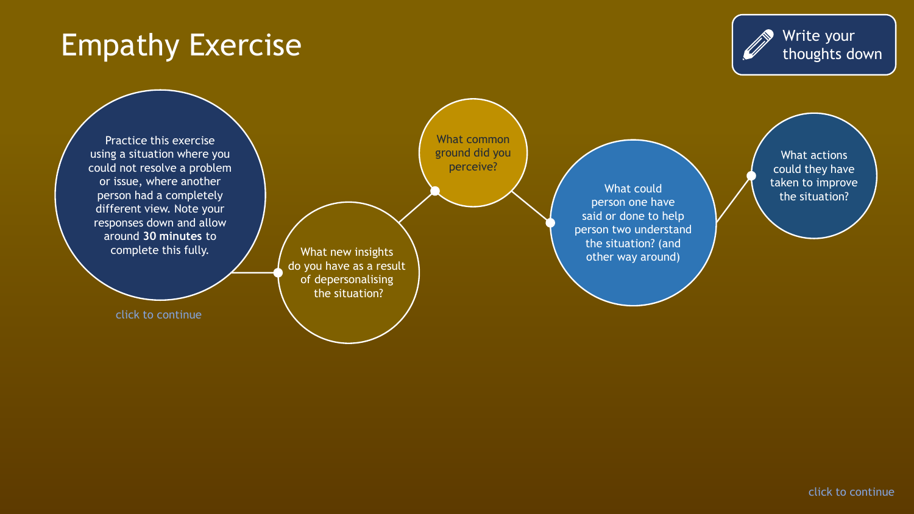## Empathy Exercise



Practice this exercise using a situation where you could not resolve a problem or issue, where another person had a completely different view. Note your responses down and allow around **30 minutes** to complete this fully.

click to continue

What common ground did you perceive?

What new insights do you have as a result of depersonalising the situation?

What could person one have said or done to help person two understand the situation? (and other way around)

What actions could they have taken to improve the situation?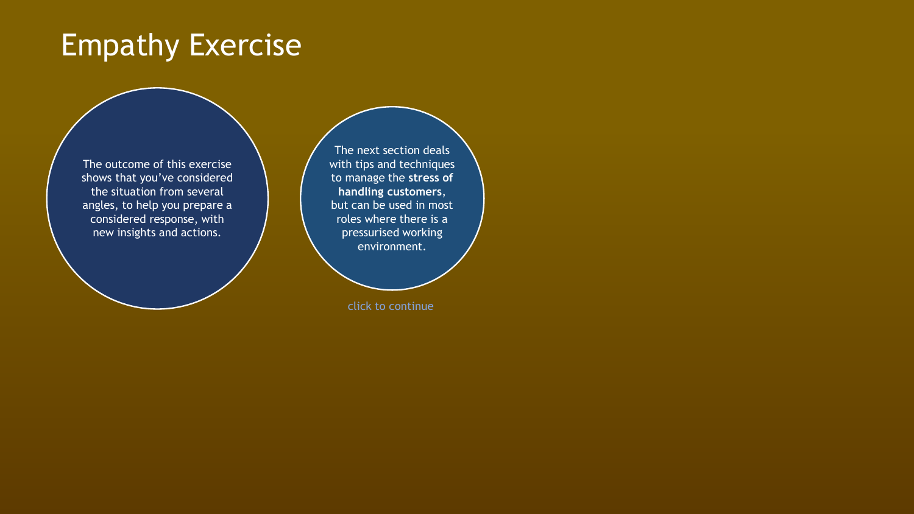## Empathy Exercise

The outcome of this exercise shows that you've considered the situation from several angles, to help you prepare a considered response, with new insights and actions.

The next section deals with tips and techniques to manage the **stress of handling customers**, but can be used in most roles where there is a pressurised working environment.

click to continue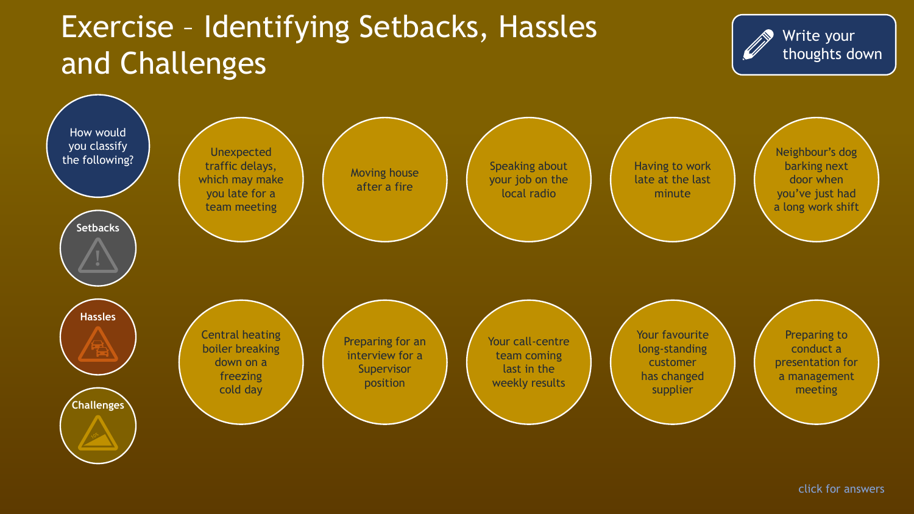# Exercise – Identifying Setbacks, Hassles and Challenges



Write your

thoughts down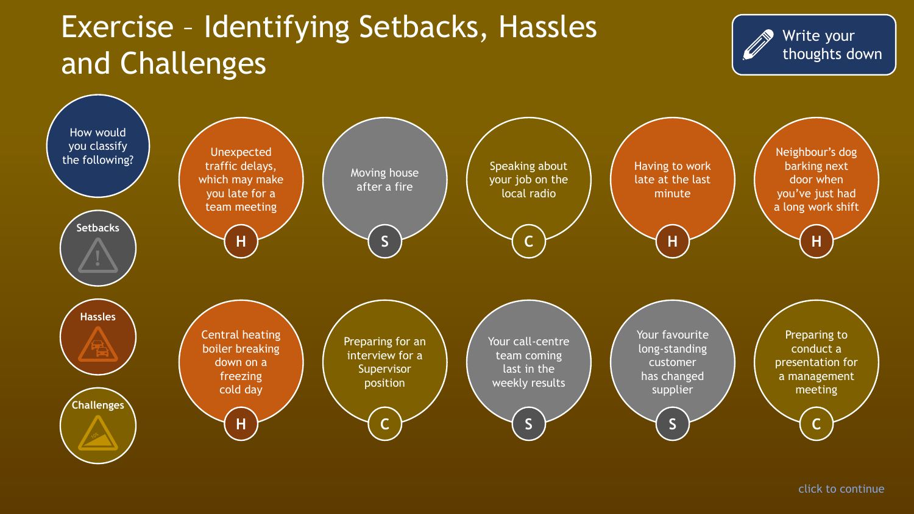# Exercise – Identifying Setbacks, Hassles and Challenges



Write your

thoughts down